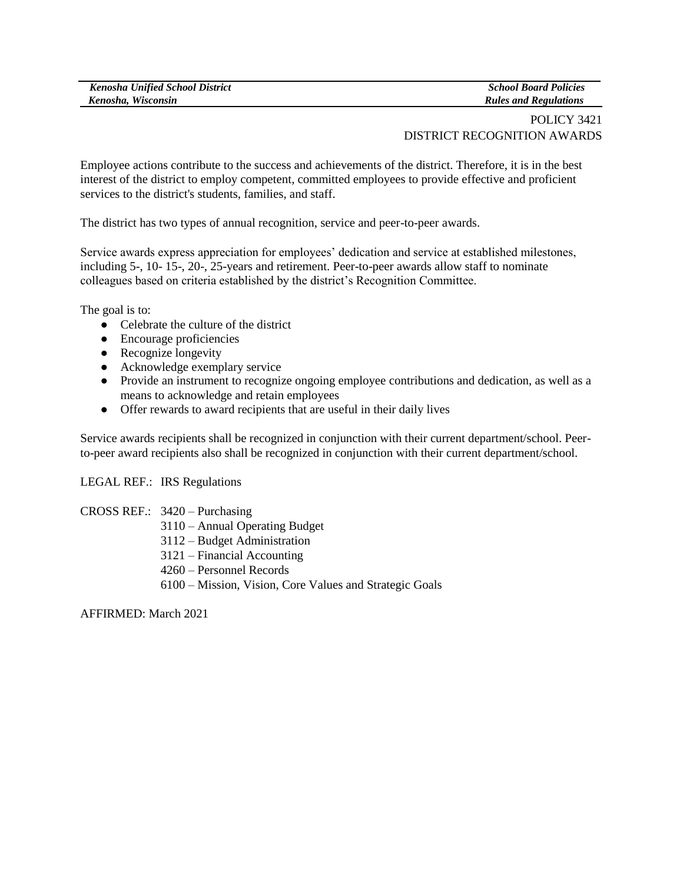| <b>Kenosha Unified School District</b> | <b>School Board Policies</b> |
|----------------------------------------|------------------------------|
| Kenosha, Wisconsin                     | <b>Rules and Regulations</b> |

## POLICY 3421 DISTRICT RECOGNITION AWARDS

Employee actions contribute to the success and achievements of the district. Therefore, it is in the best interest of the district to employ competent, committed employees to provide effective and proficient services to the district's students, families, and staff.

The district has two types of annual recognition, service and peer-to-peer awards.

Service awards express appreciation for employees' dedication and service at established milestones, including 5-, 10- 15-, 20-, 25-years and retirement. Peer-to-peer awards allow staff to nominate colleagues based on criteria established by the district's Recognition Committee.

The goal is to:

- Celebrate the culture of the district
- Encourage proficiencies
- Recognize longevity
- Acknowledge exemplary service
- Provide an instrument to recognize ongoing employee contributions and dedication, as well as a means to acknowledge and retain employees
- Offer rewards to award recipients that are useful in their daily lives

Service awards recipients shall be recognized in conjunction with their current department/school. Peerto-peer award recipients also shall be recognized in conjunction with their current department/school.

LEGAL REF.: IRS Regulations

- CROSS REF.: 3420 Purchasing
	- 3110 Annual Operating Budget
	- 3112 Budget Administration
	- 3121 Financial Accounting
	- 4260 Personnel Records
	- 6100 Mission, Vision, Core Values and Strategic Goals

AFFIRMED: March 2021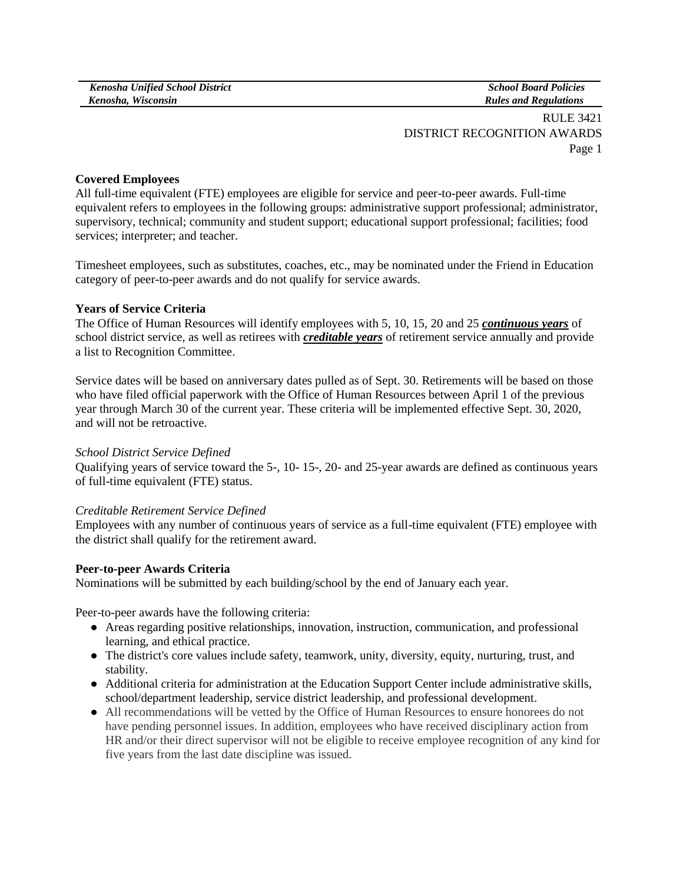*School Board Policies Rules and Regulations*

RULE 3421 DISTRICT RECOGNITION AWARDS Page 1

### **Covered Employees**

All full-time equivalent (FTE) employees are eligible for service and peer-to-peer awards. Full-time equivalent refers to employees in the following groups: administrative support professional; administrator, supervisory, technical; community and student support; educational support professional; facilities; food services; interpreter; and teacher.

Timesheet employees, such as substitutes, coaches, etc., may be nominated under the Friend in Education category of peer-to-peer awards and do not qualify for service awards.

### **Years of Service Criteria**

The Office of Human Resources will identify employees with 5, 10, 15, 20 and 25 *continuous years* of school district service, as well as retirees with *creditable years* of retirement service annually and provide a list to Recognition Committee.

Service dates will be based on anniversary dates pulled as of Sept. 30. Retirements will be based on those who have filed official paperwork with the Office of Human Resources between April 1 of the previous year through March 30 of the current year. These criteria will be implemented effective Sept. 30, 2020, and will not be retroactive.

#### *School District Service Defined*

Qualifying years of service toward the 5-, 10- 15-, 20- and 25-year awards are defined as continuous years of full-time equivalent (FTE) status.

#### *Creditable Retirement Service Defined*

Employees with any number of continuous years of service as a full-time equivalent (FTE) employee with the district shall qualify for the retirement award.

#### **Peer-to-peer Awards Criteria**

Nominations will be submitted by each building/school by the end of January each year.

Peer-to-peer awards have the following criteria:

- Areas regarding positive relationships, innovation, instruction, communication, and professional learning, and ethical practice.
- The district's core values include safety, teamwork, unity, diversity, equity, nurturing, trust, and stability.
- Additional criteria for administration at the Education Support Center include administrative skills, school/department leadership, service district leadership, and professional development.
- All recommendations will be vetted by the Office of Human Resources to ensure honorees do not have pending personnel issues. In addition, employees who have received disciplinary action from HR and/or their direct supervisor will not be eligible to receive employee recognition of any kind for five years from the last date discipline was issued.